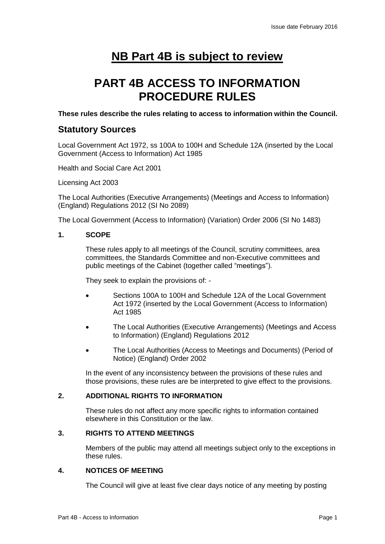# **NB Part 4B is subject to review**

# **PART 4B ACCESS TO INFORMATION PROCEDURE RULES**

**These rules describe the rules relating to access to information within the Council.**

# **Statutory Sources**

Local Government Act 1972, ss 100A to 100H and Schedule 12A (inserted by the Local Government (Access to Information) Act 1985

Health and Social Care Act 2001

Licensing Act 2003

The Local Authorities (Executive Arrangements) (Meetings and Access to Information) (England) Regulations 2012 (SI No 2089)

The Local Government (Access to Information) (Variation) Order 2006 (SI No 1483)

# **1. SCOPE**

These rules apply to all meetings of the Council, scrutiny committees, area committees, the Standards Committee and non-Executive committees and public meetings of the Cabinet (together called "meetings").

They seek to explain the provisions of: -

- Sections 100A to 100H and Schedule 12A of the Local Government Act 1972 (inserted by the Local Government (Access to Information) Act 1985
- The Local Authorities (Executive Arrangements) (Meetings and Access to Information) (England) Regulations 2012
- The Local Authorities (Access to Meetings and Documents) (Period of Notice) (England) Order 2002

In the event of any inconsistency between the provisions of these rules and those provisions, these rules are be interpreted to give effect to the provisions.

# **2. ADDITIONAL RIGHTS TO INFORMATION**

These rules do not affect any more specific rights to information contained elsewhere in this Constitution or the law.

# **3. RIGHTS TO ATTEND MEETINGS**

Members of the public may attend all meetings subject only to the exceptions in these rules.

# **4. NOTICES OF MEETING**

The Council will give at least five clear days notice of any meeting by posting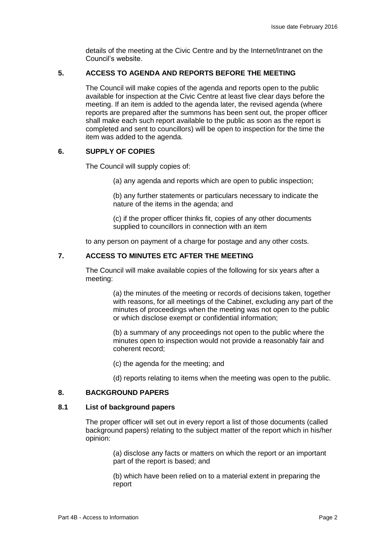details of the meeting at the Civic Centre and by the Internet/Intranet on the Council's website.

# **5. ACCESS TO AGENDA AND REPORTS BEFORE THE MEETING**

The Council will make copies of the agenda and reports open to the public available for inspection at the Civic Centre at least five clear days before the meeting. If an item is added to the agenda later, the revised agenda (where reports are prepared after the summons has been sent out, the proper officer shall make each such report available to the public as soon as the report is completed and sent to councillors) will be open to inspection for the time the item was added to the agenda.

# **6. SUPPLY OF COPIES**

The Council will supply copies of:

(a) any agenda and reports which are open to public inspection;

(b) any further statements or particulars necessary to indicate the nature of the items in the agenda; and

(c) if the proper officer thinks fit, copies of any other documents supplied to councillors in connection with an item

to any person on payment of a charge for postage and any other costs.

# **7. ACCESS TO MINUTES ETC AFTER THE MEETING**

The Council will make available copies of the following for six years after a meeting:

> (a) the minutes of the meeting or records of decisions taken, together with reasons, for all meetings of the Cabinet, excluding any part of the minutes of proceedings when the meeting was not open to the public or which disclose exempt or confidential information;

(b) a summary of any proceedings not open to the public where the minutes open to inspection would not provide a reasonably fair and coherent record;

(c) the agenda for the meeting; and

(d) reports relating to items when the meeting was open to the public.

## **8. BACKGROUND PAPERS**

## **8.1 List of background papers**

The proper officer will set out in every report a list of those documents (called background papers) relating to the subject matter of the report which in his/her opinion:

> (a) disclose any facts or matters on which the report or an important part of the report is based; and

(b) which have been relied on to a material extent in preparing the report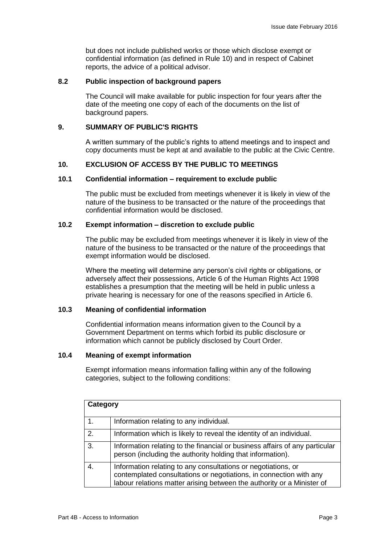but does not include published works or those which disclose exempt or confidential information (as defined in Rule 10) and in respect of Cabinet reports, the advice of a political advisor.

## **8.2 Public inspection of background papers**

The Council will make available for public inspection for four years after the date of the meeting one copy of each of the documents on the list of background papers.

# **9. SUMMARY OF PUBLIC'S RIGHTS**

A written summary of the public's rights to attend meetings and to inspect and copy documents must be kept at and available to the public at the Civic Centre.

# **10. EXCLUSION OF ACCESS BY THE PUBLIC TO MEETINGS**

# **10.1 Confidential information – requirement to exclude public**

The public must be excluded from meetings whenever it is likely in view of the nature of the business to be transacted or the nature of the proceedings that confidential information would be disclosed.

# **10.2 Exempt information – discretion to exclude public**

The public may be excluded from meetings whenever it is likely in view of the nature of the business to be transacted or the nature of the proceedings that exempt information would be disclosed.

Where the meeting will determine any person's civil rights or obligations, or adversely affect their possessions, Article 6 of the Human Rights Act 1998 establishes a presumption that the meeting will be held in public unless a private hearing is necessary for one of the reasons specified in Article 6.

# **10.3 Meaning of confidential information**

Confidential information means information given to the Council by a Government Department on terms which forbid its public disclosure or information which cannot be publicly disclosed by Court Order.

# **10.4 Meaning of exempt information**

Exempt information means information falling within any of the following categories, subject to the following conditions:

| Category |                                                                                                                                                                                                               |  |
|----------|---------------------------------------------------------------------------------------------------------------------------------------------------------------------------------------------------------------|--|
| 1.       | Information relating to any individual.                                                                                                                                                                       |  |
| 2.       | Information which is likely to reveal the identity of an individual.                                                                                                                                          |  |
| 3.       | Information relating to the financial or business affairs of any particular<br>person (including the authority holding that information).                                                                     |  |
| 4.       | Information relating to any consultations or negotiations, or<br>contemplated consultations or negotiations, in connection with any<br>labour relations matter arising between the authority or a Minister of |  |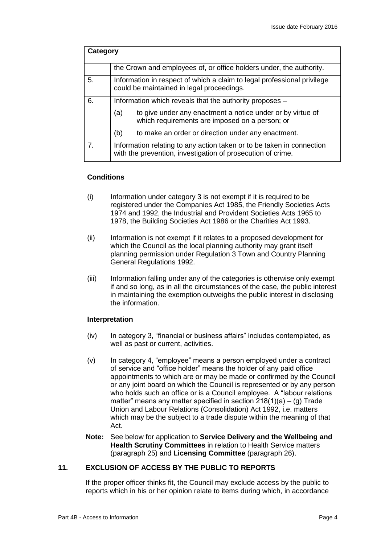| Category       |                                                                                                                                      |  |
|----------------|--------------------------------------------------------------------------------------------------------------------------------------|--|
|                | the Crown and employees of, or office holders under, the authority.                                                                  |  |
| 5.             | Information in respect of which a claim to legal professional privilege<br>could be maintained in legal proceedings.                 |  |
| 6.             | Information which reveals that the authority proposes -                                                                              |  |
|                | to give under any enactment a notice under or by virtue of<br>(a)<br>which requirements are imposed on a person; or                  |  |
|                | (b)<br>to make an order or direction under any enactment.                                                                            |  |
| 7 <sub>1</sub> | Information relating to any action taken or to be taken in connection<br>with the prevention, investigation of prosecution of crime. |  |

# **Conditions**

- (i) Information under category 3 is not exempt if it is required to be registered under the Companies Act 1985, the Friendly Societies Acts 1974 and 1992, the Industrial and Provident Societies Acts 1965 to 1978, the Building Societies Act 1986 or the Charities Act 1993.
- (ii) Information is not exempt if it relates to a proposed development for which the Council as the local planning authority may grant itself planning permission under Regulation 3 Town and Country Planning General Regulations 1992.
- (iii) Information falling under any of the categories is otherwise only exempt if and so long, as in all the circumstances of the case, the public interest in maintaining the exemption outweighs the public interest in disclosing the information.

## **Interpretation**

- (iv) In category 3, "financial or business affairs" includes contemplated, as well as past or current, activities.
- (v) In category 4, "employee" means a person employed under a contract of service and "office holder" means the holder of any paid office appointments to which are or may be made or confirmed by the Council or any joint board on which the Council is represented or by any person who holds such an office or is a Council employee. A "labour relations matter" means any matter specified in section  $218(1)(a) - (g)$  Trade Union and Labour Relations (Consolidation) Act 1992, i.e. matters which may be the subject to a trade dispute within the meaning of that Act.
- **Note:** See below for application to **Service Delivery and the Wellbeing and Health Scrutiny Committees** in relation to Health Service matters (paragraph 25) and **Licensing Committee** (paragraph 26).

# **11. EXCLUSION OF ACCESS BY THE PUBLIC TO REPORTS**

If the proper officer thinks fit, the Council may exclude access by the public to reports which in his or her opinion relate to items during which, in accordance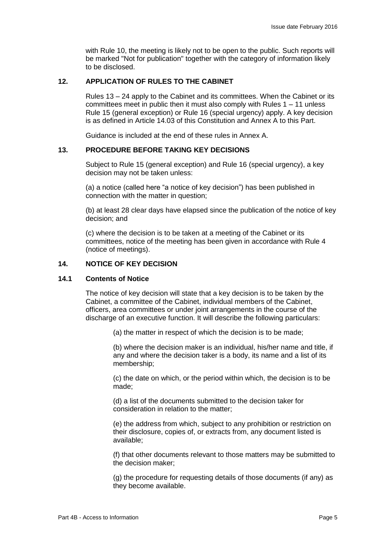with Rule 10, the meeting is likely not to be open to the public. Such reports will be marked "Not for publication" together with the category of information likely to be disclosed.

# **12. APPLICATION OF RULES TO THE CABINET**

Rules 13 – 24 apply to the Cabinet and its committees. When the Cabinet or its committees meet in public then it must also comply with Rules 1 – 11 unless Rule 15 (general exception) or Rule 16 (special urgency) apply. A key decision is as defined in Article 14.03 of this Constitution and Annex A to this Part.

Guidance is included at the end of these rules in Annex A.

# **13. PROCEDURE BEFORE TAKING KEY DECISIONS**

Subject to Rule 15 (general exception) and Rule 16 (special urgency), a key decision may not be taken unless:

(a) a notice (called here "a notice of key decision") has been published in connection with the matter in question;

(b) at least 28 clear days have elapsed since the publication of the notice of key decision; and

(c) where the decision is to be taken at a meeting of the Cabinet or its committees, notice of the meeting has been given in accordance with Rule 4 (notice of meetings).

## **14. NOTICE OF KEY DECISION**

## **14.1 Contents of Notice**

The notice of key decision will state that a key decision is to be taken by the Cabinet, a committee of the Cabinet, individual members of the Cabinet, officers, area committees or under joint arrangements in the course of the discharge of an executive function. It will describe the following particulars:

(a) the matter in respect of which the decision is to be made;

(b) where the decision maker is an individual, his/her name and title, if any and where the decision taker is a body, its name and a list of its membership;

(c) the date on which, or the period within which, the decision is to be made;

(d) a list of the documents submitted to the decision taker for consideration in relation to the matter;

(e) the address from which, subject to any prohibition or restriction on their disclosure, copies of, or extracts from, any document listed is available;

(f) that other documents relevant to those matters may be submitted to the decision maker;

(g) the procedure for requesting details of those documents (if any) as they become available.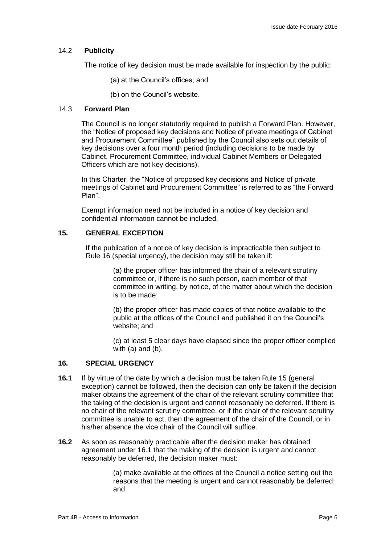# 14.2 **Publicity**

The notice of key decision must be made available for inspection by the public:

- (a) at the Council's offices; and
- (b) on the Council's website.

## 14.3 **Forward Plan**

The Council is no longer statutorily required to publish a Forward Plan. However, the "Notice of proposed key decisions and Notice of private meetings of Cabinet and Procurement Committee" published by the Council also sets out details of key decisions over a four month period (including decisions to be made by Cabinet, Procurement Committee, individual Cabinet Members or Delegated Officers which are not key decisions).

In this Charter, the "Notice of proposed key decisions and Notice of private meetings of Cabinet and Procurement Committee" is referred to as "the Forward Plan".

Exempt information need not be included in a notice of key decision and confidential information cannot be included.

# **15. GENERAL EXCEPTION**

If the publication of a notice of key decision is impracticable then subject to Rule 16 (special urgency), the decision may still be taken if:

> (a) the proper officer has informed the chair of a relevant scrutiny committee or, if there is no such person, each member of that committee in writing, by notice, of the matter about which the decision is to be made;

(b) the proper officer has made copies of that notice available to the public at the offices of the Council and published it on the Council's website; and

(c) at least 5 clear days have elapsed since the proper officer complied with (a) and (b).

# **16. SPECIAL URGENCY**

- **16.1** If by virtue of the date by which a decision must be taken Rule 15 (general exception) cannot be followed, then the decision can only be taken if the decision maker obtains the agreement of the chair of the relevant scrutiny committee that the taking of the decision is urgent and cannot reasonably be deferred. If there is no chair of the relevant scrutiny committee, or if the chair of the relevant scrutiny committee is unable to act, then the agreement of the chair of the Council, or in his/her absence the vice chair of the Council will suffice.
- **16.2** As soon as reasonably practicable after the decision maker has obtained agreement under 16.1 that the making of the decision is urgent and cannot reasonably be deferred, the decision maker must:

(a) make available at the offices of the Council a notice setting out the reasons that the meeting is urgent and cannot reasonably be deferred; and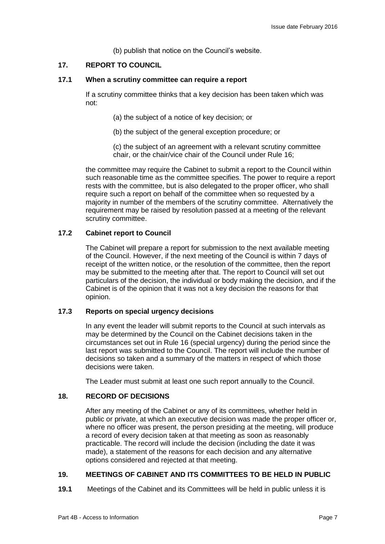(b) publish that notice on the Council's website.

# **17. REPORT TO COUNCIL**

## **17.1 When a scrutiny committee can require a report**

If a scrutiny committee thinks that a key decision has been taken which was not:

- (a) the subject of a notice of key decision; or
- (b) the subject of the general exception procedure; or

(c) the subject of an agreement with a relevant scrutiny committee chair, or the chair/vice chair of the Council under Rule 16;

the committee may require the Cabinet to submit a report to the Council within such reasonable time as the committee specifies. The power to require a report rests with the committee, but is also delegated to the proper officer, who shall require such a report on behalf of the committee when so requested by a majority in number of the members of the scrutiny committee. Alternatively the requirement may be raised by resolution passed at a meeting of the relevant scrutiny committee.

# **17.2 Cabinet report to Council**

The Cabinet will prepare a report for submission to the next available meeting of the Council. However, if the next meeting of the Council is within 7 days of receipt of the written notice, or the resolution of the committee, then the report may be submitted to the meeting after that. The report to Council will set out particulars of the decision, the individual or body making the decision, and if the Cabinet is of the opinion that it was not a key decision the reasons for that opinion.

## **17.3 Reports on special urgency decisions**

In any event the leader will submit reports to the Council at such intervals as may be determined by the Council on the Cabinet decisions taken in the circumstances set out in Rule 16 (special urgency) during the period since the last report was submitted to the Council. The report will include the number of decisions so taken and a summary of the matters in respect of which those decisions were taken.

The Leader must submit at least one such report annually to the Council.

# **18. RECORD OF DECISIONS**

After any meeting of the Cabinet or any of its committees, whether held in public or private, at which an executive decision was made the proper officer or, where no officer was present, the person presiding at the meeting, will produce a record of every decision taken at that meeting as soon as reasonably practicable. The record will include the decision (including the date it was made), a statement of the reasons for each decision and any alternative options considered and rejected at that meeting.

# **19. MEETINGS OF CABINET AND ITS COMMITTEES TO BE HELD IN PUBLIC**

**19.1** Meetings of the Cabinet and its Committees will be held in public unless it is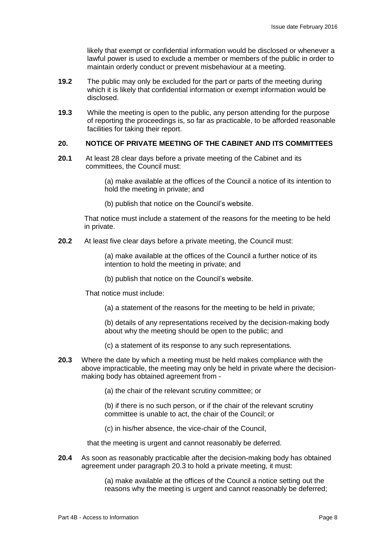likely that exempt or confidential information would be disclosed or whenever a lawful power is used to exclude a member or members of the public in order to maintain orderly conduct or prevent misbehaviour at a meeting.

- **19.2** The public may only be excluded for the part or parts of the meeting during which it is likely that confidential information or exempt information would be disclosed.
- **19.3** While the meeting is open to the public, any person attending for the purpose of reporting the proceedings is, so far as practicable, to be afforded reasonable facilities for taking their report.

## **20. NOTICE OF PRIVATE MEETING OF THE CABINET AND ITS COMMITTEES**

**20.1** At least 28 clear days before a private meeting of the Cabinet and its committees, the Council must:

> (a) make available at the offices of the Council a notice of its intention to hold the meeting in private; and

(b) publish that notice on the Council's website.

That notice must include a statement of the reasons for the meeting to be held in private.

**20.2** At least five clear days before a private meeting, the Council must:

(a) make available at the offices of the Council a further notice of its intention to hold the meeting in private; and

(b) publish that notice on the Council's website.

That notice must include:

(a) a statement of the reasons for the meeting to be held in private;

(b) details of any representations received by the decision-making body about why the meeting should be open to the public; and

- (c) a statement of its response to any such representations.
- **20.3** Where the date by which a meeting must be held makes compliance with the above impracticable, the meeting may only be held in private where the decisionmaking body has obtained agreement from -

(a) the chair of the relevant scrutiny committee; or

(b) if there is no such person, or if the chair of the relevant scrutiny committee is unable to act, the chair of the Council; or

(c) in his/her absence, the vice-chair of the Council,

that the meeting is urgent and cannot reasonably be deferred.

**20.4** As soon as reasonably practicable after the decision-making body has obtained agreement under paragraph 20.3 to hold a private meeting, it must:

> (a) make available at the offices of the Council a notice setting out the reasons why the meeting is urgent and cannot reasonably be deferred;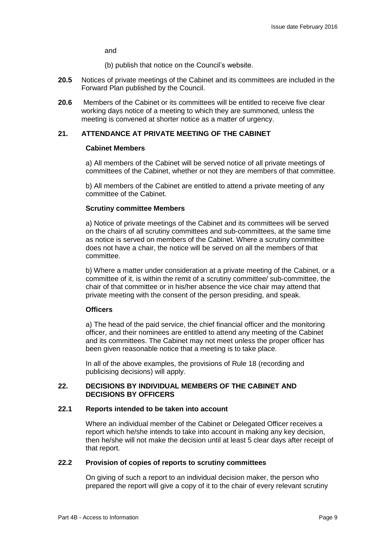and

(b) publish that notice on the Council's website.

- **20.5** Notices of private meetings of the Cabinet and its committees are included in the Forward Plan published by the Council.
- **20.6** Members of the Cabinet or its committees will be entitled to receive five clear working days notice of a meeting to which they are summoned, unless the meeting is convened at shorter notice as a matter of urgency.

# **21. ATTENDANCE AT PRIVATE MEETING OF THE CABINET**

#### **Cabinet Members**

a) All members of the Cabinet will be served notice of all private meetings of committees of the Cabinet, whether or not they are members of that committee.

b) All members of the Cabinet are entitled to attend a private meeting of any committee of the Cabinet.

#### **Scrutiny committee Members**

a) Notice of private meetings of the Cabinet and its committees will be served on the chairs of all scrutiny committees and sub-committees, at the same time as notice is served on members of the Cabinet. Where a scrutiny committee does not have a chair, the notice will be served on all the members of that committee.

b) Where a matter under consideration at a private meeting of the Cabinet, or a committee of it, is within the remit of a scrutiny committee/ sub-committee, the chair of that committee or in his/her absence the vice chair may attend that private meeting with the consent of the person presiding, and speak.

# **Officers**

a) The head of the paid service, the chief financial officer and the monitoring officer, and their nominees are entitled to attend any meeting of the Cabinet and its committees. The Cabinet may not meet unless the proper officer has been given reasonable notice that a meeting is to take place.

In all of the above examples, the provisions of Rule 18 (recording and publicising decisions) will apply.

## **22. DECISIONS BY INDIVIDUAL MEMBERS OF THE CABINET AND DECISIONS BY OFFICERS**

#### **22.1 Reports intended to be taken into account**

Where an individual member of the Cabinet or Delegated Officer receives a report which he/she intends to take into account in making any key decision, then he/she will not make the decision until at least 5 clear days after receipt of that report.

# **22.2 Provision of copies of reports to scrutiny committees**

On giving of such a report to an individual decision maker, the person who prepared the report will give a copy of it to the chair of every relevant scrutiny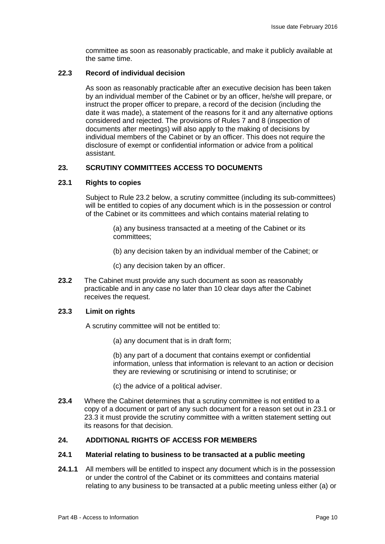committee as soon as reasonably practicable, and make it publicly available at the same time.

# **22.3 Record of individual decision**

As soon as reasonably practicable after an executive decision has been taken by an individual member of the Cabinet or by an officer, he/she will prepare, or instruct the proper officer to prepare, a record of the decision (including the date it was made), a statement of the reasons for it and any alternative options considered and rejected. The provisions of Rules 7 and 8 (inspection of documents after meetings) will also apply to the making of decisions by individual members of the Cabinet or by an officer. This does not require the disclosure of exempt or confidential information or advice from a political assistant.

# **23. SCRUTINY COMMITTEES ACCESS TO DOCUMENTS**

## **23.1 Rights to copies**

Subject to Rule 23.2 below, a scrutiny committee (including its sub-committees) will be entitled to copies of any document which is in the possession or control of the Cabinet or its committees and which contains material relating to

> (a) any business transacted at a meeting of the Cabinet or its committees;

(b) any decision taken by an individual member of the Cabinet; or

(c) any decision taken by an officer.

**23.2** The Cabinet must provide any such document as soon as reasonably practicable and in any case no later than 10 clear days after the Cabinet receives the request.

## **23.3 Limit on rights**

A scrutiny committee will not be entitled to:

(a) any document that is in draft form;

(b) any part of a document that contains exempt or confidential information, unless that information is relevant to an action or decision they are reviewing or scrutinising or intend to scrutinise; or

(c) the advice of a political adviser.

**23.4** Where the Cabinet determines that a scrutiny committee is not entitled to a copy of a document or part of any such document for a reason set out in 23.1 or 23.3 it must provide the scrutiny committee with a written statement setting out its reasons for that decision.

# **24. ADDITIONAL RIGHTS OF ACCESS FOR MEMBERS**

## **24.1 Material relating to business to be transacted at a public meeting**

**24.1.1** All members will be entitled to inspect any document which is in the possession or under the control of the Cabinet or its committees and contains material relating to any business to be transacted at a public meeting unless either (a) or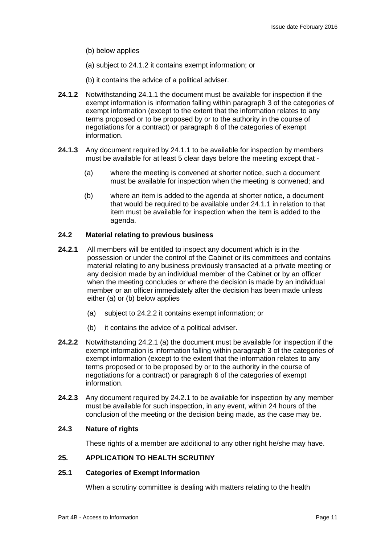- (b) below applies
- (a) subject to 24.1.2 it contains exempt information; or
- (b) it contains the advice of a political adviser.
- **24.1.2** Notwithstanding 24.1.1 the document must be available for inspection if the exempt information is information falling within paragraph 3 of the categories of exempt information (except to the extent that the information relates to any terms proposed or to be proposed by or to the authority in the course of negotiations for a contract) or paragraph 6 of the categories of exempt information.
- **24.1.3** Any document required by 24.1.1 to be available for inspection by members must be available for at least 5 clear days before the meeting except that -
	- (a) where the meeting is convened at shorter notice, such a document must be available for inspection when the meeting is convened; and
	- (b) where an item is added to the agenda at shorter notice, a document that would be required to be available under 24.1.1 in relation to that item must be available for inspection when the item is added to the agenda.

# **24.2 Material relating to previous business**

- **24.2.1** All members will be entitled to inspect any document which is in the possession or under the control of the Cabinet or its committees and contains material relating to any business previously transacted at a private meeting or any decision made by an individual member of the Cabinet or by an officer when the meeting concludes or where the decision is made by an individual member or an officer immediately after the decision has been made unless either (a) or (b) below applies
	- (a) subject to 24.2.2 it contains exempt information; or
	- (b) it contains the advice of a political adviser.
- **24.2.2** Notwithstanding 24.2.1 (a) the document must be available for inspection if the exempt information is information falling within paragraph 3 of the categories of exempt information (except to the extent that the information relates to any terms proposed or to be proposed by or to the authority in the course of negotiations for a contract) or paragraph 6 of the categories of exempt information.
- **24.2.3** Any document required by 24.2.1 to be available for inspection by any member must be available for such inspection, in any event, within 24 hours of the conclusion of the meeting or the decision being made, as the case may be.

## **24.3 Nature of rights**

These rights of a member are additional to any other right he/she may have.

# **25. APPLICATION TO HEALTH SCRUTINY**

# **25.1 Categories of Exempt Information**

When a scrutiny committee is dealing with matters relating to the health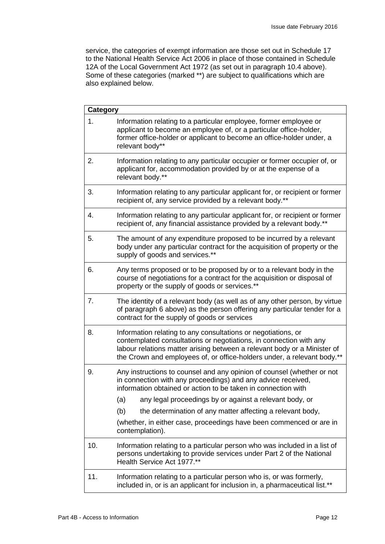service, the categories of exempt information are those set out in Schedule 17 to the National Health Service Act 2006 in place of those contained in Schedule 12A of the Local Government Act 1972 (as set out in paragraph 10.4 above). Some of these categories (marked \*\*) are subject to qualifications which are also explained below.

| Category |                                                                                                                                                                                                                                                                                            |  |
|----------|--------------------------------------------------------------------------------------------------------------------------------------------------------------------------------------------------------------------------------------------------------------------------------------------|--|
| 1.       | Information relating to a particular employee, former employee or<br>applicant to become an employee of, or a particular office-holder,<br>former office-holder or applicant to become an office-holder under, a<br>relevant body**                                                        |  |
| 2.       | Information relating to any particular occupier or former occupier of, or<br>applicant for, accommodation provided by or at the expense of a<br>relevant body.**                                                                                                                           |  |
| 3.       | Information relating to any particular applicant for, or recipient or former<br>recipient of, any service provided by a relevant body.**                                                                                                                                                   |  |
| 4.       | Information relating to any particular applicant for, or recipient or former<br>recipient of, any financial assistance provided by a relevant body.**                                                                                                                                      |  |
| 5.       | The amount of any expenditure proposed to be incurred by a relevant<br>body under any particular contract for the acquisition of property or the<br>supply of goods and services.**                                                                                                        |  |
| 6.       | Any terms proposed or to be proposed by or to a relevant body in the<br>course of negotiations for a contract for the acquisition or disposal of<br>property or the supply of goods or services.**                                                                                         |  |
| 7.       | The identity of a relevant body (as well as of any other person, by virtue<br>of paragraph 6 above) as the person offering any particular tender for a<br>contract for the supply of goods or services                                                                                     |  |
| 8.       | Information relating to any consultations or negotiations, or<br>contemplated consultations or negotiations, in connection with any<br>labour relations matter arising between a relevant body or a Minister of<br>the Crown and employees of, or office-holders under, a relevant body.** |  |
| 9.       | Any instructions to counsel and any opinion of counsel (whether or not<br>in connection with any proceedings) and any advice received,<br>information obtained or action to be taken in connection with                                                                                    |  |
|          | any legal proceedings by or against a relevant body, or<br>(a)                                                                                                                                                                                                                             |  |
|          | (b)<br>the determination of any matter affecting a relevant body,                                                                                                                                                                                                                          |  |
|          | (whether, in either case, proceedings have been commenced or are in<br>contemplation).                                                                                                                                                                                                     |  |
| 10.      | Information relating to a particular person who was included in a list of<br>persons undertaking to provide services under Part 2 of the National<br>Health Service Act 1977.**                                                                                                            |  |
| 11.      | Information relating to a particular person who is, or was formerly,<br>included in, or is an applicant for inclusion in, a pharmaceutical list.**                                                                                                                                         |  |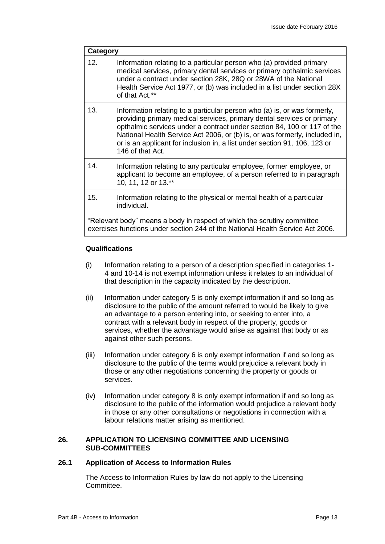| <b>Category</b>                                                                                                                                           |                                                                                                                                                                                                                                                                                                                                                                                                              |  |
|-----------------------------------------------------------------------------------------------------------------------------------------------------------|--------------------------------------------------------------------------------------------------------------------------------------------------------------------------------------------------------------------------------------------------------------------------------------------------------------------------------------------------------------------------------------------------------------|--|
| 12.                                                                                                                                                       | Information relating to a particular person who (a) provided primary<br>medical services, primary dental services or primary opthalmic services<br>under a contract under section 28K, 28Q or 28WA of the National<br>Health Service Act 1977, or (b) was included in a list under section 28X<br>of that Act.**                                                                                             |  |
| 13.                                                                                                                                                       | Information relating to a particular person who (a) is, or was formerly,<br>providing primary medical services, primary dental services or primary<br>opthalmic services under a contract under section 84, 100 or 117 of the<br>National Health Service Act 2006, or (b) is, or was formerly, included in,<br>or is an applicant for inclusion in, a list under section 91, 106, 123 or<br>146 of that Act. |  |
| 14.                                                                                                                                                       | Information relating to any particular employee, former employee, or<br>applicant to become an employee, of a person referred to in paragraph<br>10, 11, 12 or 13.**                                                                                                                                                                                                                                         |  |
| 15.                                                                                                                                                       | Information relating to the physical or mental health of a particular<br>individual.                                                                                                                                                                                                                                                                                                                         |  |
| "Relevant body" means a body in respect of which the scrutiny committee<br>exercises functions under section 244 of the National Health Service Act 2006. |                                                                                                                                                                                                                                                                                                                                                                                                              |  |

# **Qualifications**

- (i) Information relating to a person of a description specified in categories 1- 4 and 10-14 is not exempt information unless it relates to an individual of that description in the capacity indicated by the description.
- (ii) Information under category 5 is only exempt information if and so long as disclosure to the public of the amount referred to would be likely to give an advantage to a person entering into, or seeking to enter into, a contract with a relevant body in respect of the property, goods or services, whether the advantage would arise as against that body or as against other such persons.
- (iii) Information under category 6 is only exempt information if and so long as disclosure to the public of the terms would prejudice a relevant body in those or any other negotiations concerning the property or goods or services.
- (iv) Information under category 8 is only exempt information if and so long as disclosure to the public of the information would prejudice a relevant body in those or any other consultations or negotiations in connection with a labour relations matter arising as mentioned.

# **26. APPLICATION TO LICENSING COMMITTEE AND LICENSING SUB-COMMITTEES**

# **26.1 Application of Access to Information Rules**

The Access to Information Rules by law do not apply to the Licensing Committee.